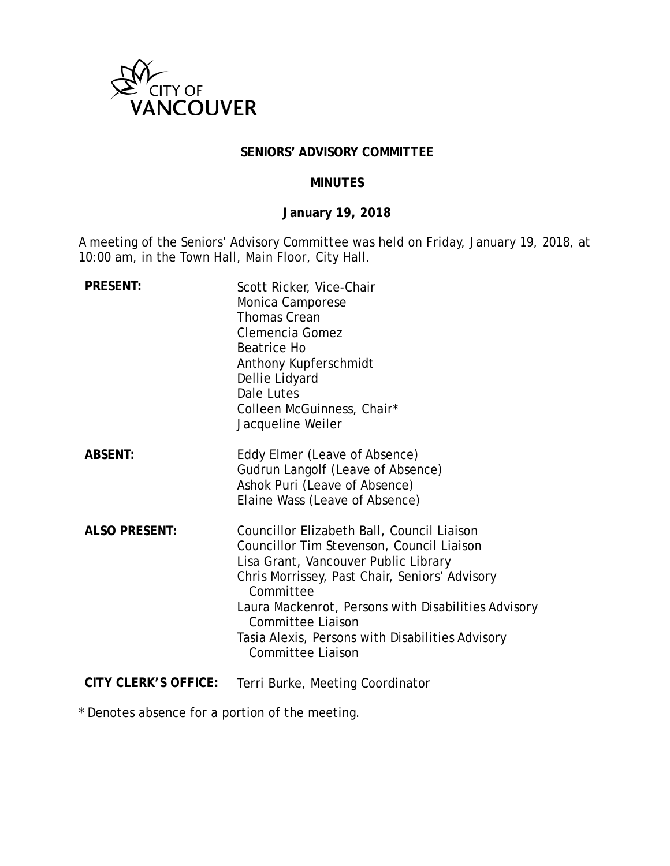

### **SENIORS' ADVISORY COMMITTEE**

### **MINUTES**

# **January 19, 2018**

A meeting of the Seniors' Advisory Committee was held on Friday, January 19, 2018, at 10:00 am, in the Town Hall, Main Floor, City Hall.

| <b>PRESENT:</b>             | Scott Ricker, Vice-Chair<br>Monica Camporese<br><b>Thomas Crean</b><br>Clemencia Gomez<br>Beatrice Ho<br>Anthony Kupferschmidt<br>Dellie Lidyard<br>Dale Lutes<br>Colleen McGuinness, Chair*<br>Jacqueline Weiler                                                                                                                                   |
|-----------------------------|-----------------------------------------------------------------------------------------------------------------------------------------------------------------------------------------------------------------------------------------------------------------------------------------------------------------------------------------------------|
| <b>ABSENT:</b>              | Eddy Elmer (Leave of Absence)<br>Gudrun Langolf (Leave of Absence)<br>Ashok Puri (Leave of Absence)<br>Elaine Wass (Leave of Absence)                                                                                                                                                                                                               |
| <b>ALSO PRESENT:</b>        | Councillor Elizabeth Ball, Council Liaison<br>Councillor Tim Stevenson, Council Liaison<br>Lisa Grant, Vancouver Public Library<br>Chris Morrissey, Past Chair, Seniors' Advisory<br>Committee<br>Laura Mackenrot, Persons with Disabilities Advisory<br>Committee Liaison<br>Tasia Alexis, Persons with Disabilities Advisory<br>Committee Liaison |
| <b>CITY CLERK'S OFFICE:</b> | Terri Burke, Meeting Coordinator                                                                                                                                                                                                                                                                                                                    |

\* Denotes absence for a portion of the meeting.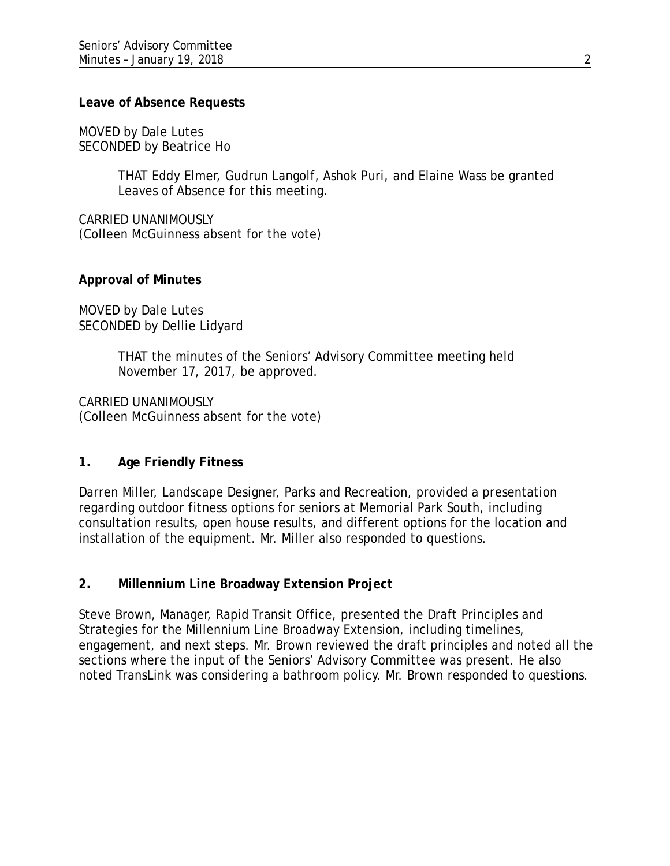#### **Leave of Absence Requests**

MOVED by Dale Lutes SECONDED by Beatrice Ho

> THAT Eddy Elmer, Gudrun Langolf, Ashok Puri, and Elaine Wass be granted Leaves of Absence for this meeting.

CARRIED UNANIMOUSLY (Colleen McGuinness absent for the vote)

## **Approval of Minutes**

MOVED by Dale Lutes SECONDED by Dellie Lidyard

> THAT the minutes of the Seniors' Advisory Committee meeting held November 17, 2017, be approved.

CARRIED UNANIMOUSLY (Colleen McGuinness absent for the vote)

## **1. Age Friendly Fitness**

Darren Miller, Landscape Designer, Parks and Recreation, provided a presentation regarding outdoor fitness options for seniors at Memorial Park South, including consultation results, open house results, and different options for the location and installation of the equipment. Mr. Miller also responded to questions.

## **2. Millennium Line Broadway Extension Project**

Steve Brown, Manager, Rapid Transit Office, presented the Draft Principles and Strategies for the Millennium Line Broadway Extension, including timelines, engagement, and next steps. Mr. Brown reviewed the draft principles and noted all the sections where the input of the Seniors' Advisory Committee was present. He also noted TransLink was considering a bathroom policy. Mr. Brown responded to questions.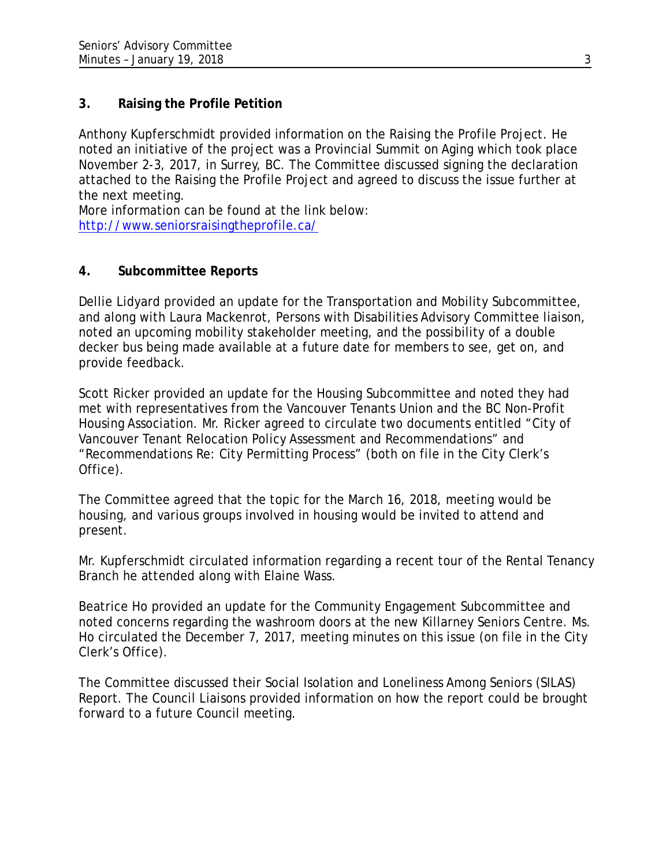# **3. Raising the Profile Petition**

Anthony Kupferschmidt provided information on the Raising the Profile Project. He noted an initiative of the project was a Provincial Summit on Aging which took place November 2-3, 2017, in Surrey, BC. The Committee discussed signing the declaration attached to the Raising the Profile Project and agreed to discuss the issue further at the next meeting.

More information can be found at the link below: <http://www.seniorsraisingtheprofile.ca/>

# **4. Subcommittee Reports**

Dellie Lidyard provided an update for the Transportation and Mobility Subcommittee, and along with Laura Mackenrot, Persons with Disabilities Advisory Committee liaison, noted an upcoming mobility stakeholder meeting, and the possibility of a double decker bus being made available at a future date for members to see, get on, and provide feedback.

Scott Ricker provided an update for the Housing Subcommittee and noted they had met with representatives from the Vancouver Tenants Union and the BC Non-Profit Housing Association. Mr. Ricker agreed to circulate two documents entitled "City of Vancouver Tenant Relocation Policy Assessment and Recommendations" and "Recommendations Re: City Permitting Process" (both on file in the City Clerk's Office).

The Committee agreed that the topic for the March 16, 2018, meeting would be housing, and various groups involved in housing would be invited to attend and present.

Mr. Kupferschmidt circulated information regarding a recent tour of the Rental Tenancy Branch he attended along with Elaine Wass.

Beatrice Ho provided an update for the Community Engagement Subcommittee and noted concerns regarding the washroom doors at the new Killarney Seniors Centre. Ms. Ho circulated the December 7, 2017, meeting minutes on this issue (on file in the City Clerk's Office).

The Committee discussed their Social Isolation and Loneliness Among Seniors (SILAS) Report. The Council Liaisons provided information on how the report could be brought forward to a future Council meeting.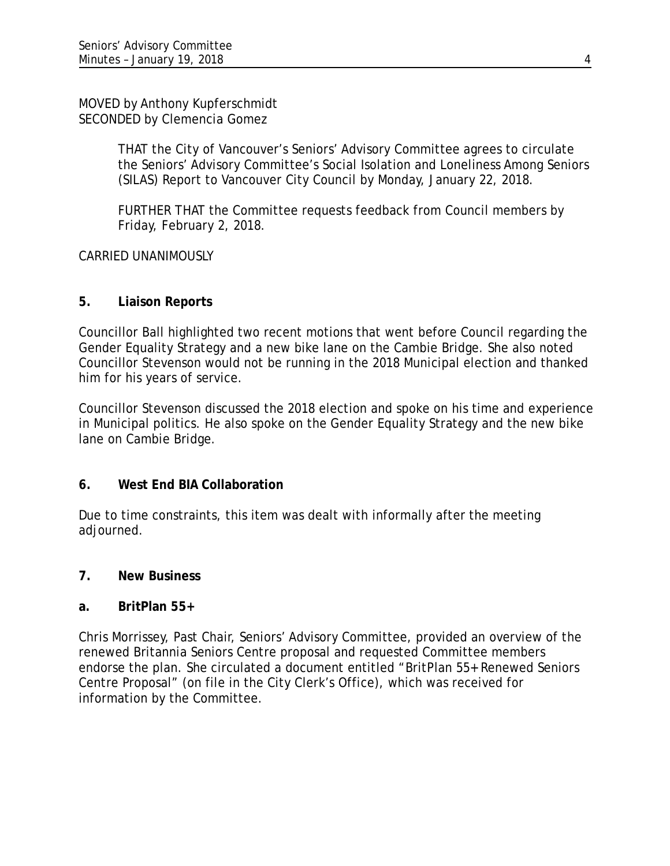MOVED by Anthony Kupferschmidt SECONDED by Clemencia Gomez

> THAT the City of Vancouver's Seniors' Advisory Committee agrees to circulate the Seniors' Advisory Committee's Social Isolation and Loneliness Among Seniors (SILAS) Report to Vancouver City Council by Monday, January 22, 2018.

FURTHER THAT the Committee requests feedback from Council members by Friday, February 2, 2018.

CARRIED UNANIMOUSLY

# **5. Liaison Reports**

Councillor Ball highlighted two recent motions that went before Council regarding the Gender Equality Strategy and a new bike lane on the Cambie Bridge. She also noted Councillor Stevenson would not be running in the 2018 Municipal election and thanked him for his years of service.

Councillor Stevenson discussed the 2018 election and spoke on his time and experience in Municipal politics. He also spoke on the Gender Equality Strategy and the new bike lane on Cambie Bridge.

## **6. West End BIA Collaboration**

Due to time constraints, this item was dealt with informally after the meeting adjourned.

## **7. New Business**

## **a. BritPlan 55+**

Chris Morrissey, Past Chair, Seniors' Advisory Committee, provided an overview of the renewed Britannia Seniors Centre proposal and requested Committee members endorse the plan. She circulated a document entitled "BritPlan 55+ Renewed Seniors Centre Proposal" (on file in the City Clerk's Office), which was received for information by the Committee.